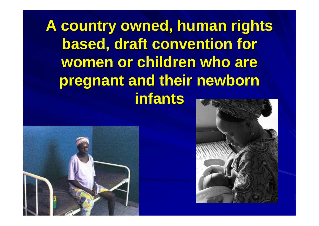**A country owned, human rights based, draft convention for** women or children who are **pregnant and their newborn pregnant and their newborn infants infants**



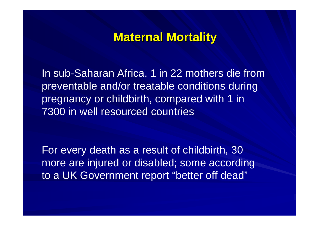### **Maternal Mortality Maternal Mortality**

In sub-Saharan Africa, 1 in 22 mothers die from preventable and/or treatable conditions during pregnancy or childbirth, compared with 1 in 7300 in well resourced countries

For every death as a result of childbirth, 30 more are injured or disabled; some according to a UK Government report "better off dead"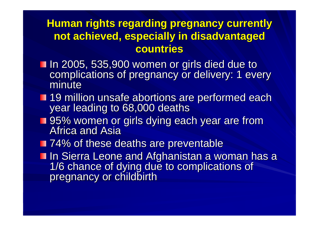#### **Human rights regarding pregnancy currently not achieved, especially in disadvantaged not achieved, especially in disadvantaged countries countries**

- In 2005, 535,900 women or girls died due to<br>In 2005, 535,900 women or girls died due to<br>complications of pregnancy or delivery: 1 every<br>minute
- 19 million unsafe abortions are performed each year leading to 68,000 deaths
- **195% women or girls dying each year are from 195% women or girls dying each year are from** Africa and Asia
- **T** 74% of these deaths are preventable
- In Sierra Leone and Afghanistan a woman has a<br>1/6 chance of dying due to complications of<br>pregnancy or childbirth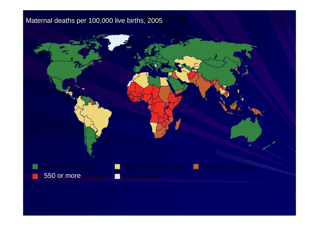#### Maternal deaths per 100,000 live births, 2005

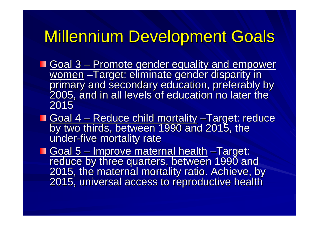# Millennium Development Goals

- Goal 3 <u>– Promote gender equality and empower</u> women primary and secondary education, preferably by<br>2005, and in all levels of education no later the 2015
- Goal 4  $\mathcal{L}_{\mathcal{A}}$ <u>– Reduce child mortality</u> by two thirds, between 1990 and 2015, the under-five mortality rate
- Goal 5 –<u>– Improve maternal health</u> reduce by three quarters, between 1990 and<br>2015, the maternal mortality ratio. Achieve, by<br>2015, universal access to reproductive health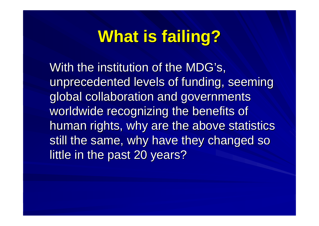# **What is failing? What is failing?**

With the institution of the MDG's, unprecedented levels of funding, seeming global collaboration and governments worldwide recognizing the benefits of human rights, why are the above statistics still the same, why have they changed so little in the past 20 years?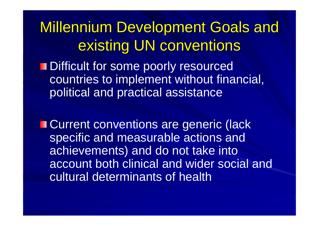**Millennium Development Goals and** existing UN conventions

**Difficult for some poorly resourced** countries to implement without financial, political and practical assistance

**E** Current conventions are generic (lack specific and measurable actions and achievements) and do not take into account both clinical and wider social and cultural determinants of health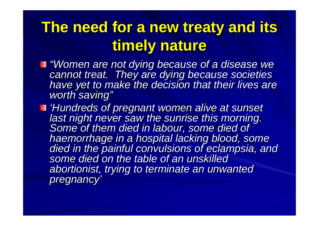# **The need for a new treaty and its timely nature timely nature**

- **I** "Women are not dying because of a disease we<br>cannot treat. They are dying because societies<br>have yet to make the decision that their lives are *"*
- 'Hundreds of pregnant women alive at sunset<br>last night never saw the sunrise this morning.<br>Some of them died in labour, some died of<br>haemorrhage in a hospital lacking blood, some died in the painful convulsions of eclampsia, and<br>some died on the table of an unskilled *abortionist, trying to terminate an unwanted abortionist, trying to terminate an unwanted pregnancy pregnancy'*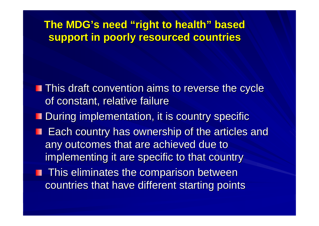**The MDG's need "right to health right to health" based support in poorly resourced countries support in poorly resourced countries**

- **This draft convention aims to reverse the cycle** of constant, relative failure
- **During implementation, it is country specific**
- **Each country has ownership of the articles and Fach country has ownership of the articles and** any outcomes that are achieved due to implementing it are specific to that country
- **This eliminates the comparison between** countries that have different starting points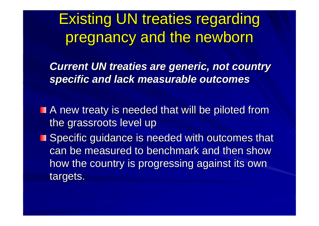**Existing UN treaties regarding** pregnancy and the newborn

**Current UN treaties are generic, not country** *specific and lack measurable outcomes specific and lack measurable outcomes*

- $\blacksquare$  A new treaty is needed that will be piloted from the grassroots level up
- **Specific guidance is needed with outcomes that** can be measured to benchmark and then show how the country is progressing against its own targets.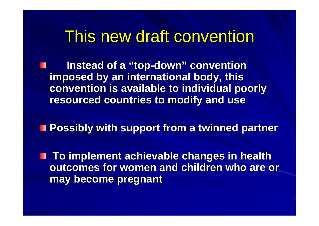## This new draft convention

**lnstead of a "top-down " convention convention imposed by an international body, this imposed by an international body, this convention is available to individual poorly convention is available to individual poorly resourced countries to modify and use resourced countries to modify and use**

**Possibly with support from a twinned partner Possibly with support from a twinned partner**

**To implement achievable changes in health outcomes for women and children who are or may become pregnant may become pregnant**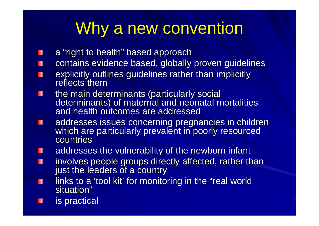# Why a new convention

- a "right to health" based approach H
- contains evidence based, globally proven guidelines Ш
- explicitly outlines guidelines rather than implicitly П reflects them
- the main determinants (particularly social<br>determinants) of maternal and neonatal mortalities<br>and health outcomes are addressed Ш
- addresses issues concerning pregnancies in children<br>which are particularly prevalent in poorly resourced Ш countries
- addresses the vulnerability of the newborn infant П
- involves people groups directly affected, rather than just the leaders of a country Ш
- links to a 'tool kit' for monitoring in the "real world Ш situation"
- is practical П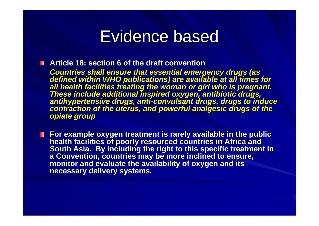## **Evidence based**

**Article 18: section 6 of the draft convention Article 18: section 6 of the draft convention**

**Countries shall ensure that essential emergency drugs (as<br>defined within WHO publications) are available at all times for<br>all health facilities treating the woman or girl who is pregnant.<br>These include additional inspired** 

■ For example oxygen treatment is rarely available in the public<br>health facilities of poorly resourced countries in Africa and<br>South Asia. By including the right to this specific treatment in<br>a Convention, countries may b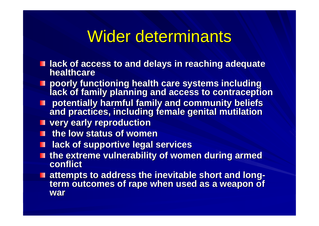# Wider determinants

- $\blacksquare$  **lack of access to and delays in reaching adequate healthcare**
- **Poorly functioning health care systems including including lack of family planning and access to contraception**
- **potentially harmful family and community beliefs potentially harmful family and community beliefs and practices, including female genital mutilation and practices, including female genital mutilation**
- **very early reproduction very early reproduction**
- **the low status of women the low status of women**
- **lack of supportive legal services** ш
- **the extreme vulnerability of women during armed conflict**
- **attempts to address the inevitable short and long attempts to address the inevitable short and long**  term outcomes of rape when used as a weapon of **war**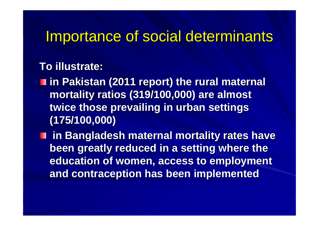### Importance of social determinants Importance of social determinants

#### **To illustrate:**

 $\blacksquare$  **in Pakistan (2011 report) the rural maternal mortality ratios (319/100,000) are almost mortality ratios (319/100,000) are almost twice those prevailing in urban settings (175/100,000) (175/100,000)** 

 $\blacksquare$  **in Bangladesh maternal mortality rates have** been greatly reduced in a setting where the **education of women, access to employment and contraception has been implemented and contraception has been implemented**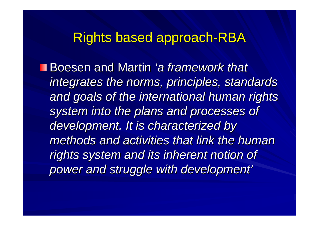### Rights based approach-RBA

Boesen and Martin *'a framework that integrates the norms, principles, standards integrates the norms, principles, standards and goals of the international human rights and goals of the international human rights*  **system into the plans and processes of** development. It is characterized by *methods and activities that link the human methods and activities that link the human rights system and its inherent notion of rights system and its inherent notion of power and struggle with development power and struggle with development '*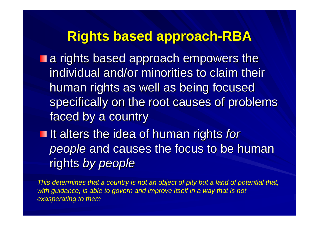### **Rights based approach Rights based approach -RBA**

**a** rights based approach empowers the individual and/or minorities to claim their human rights as well as being focused specifically on the root causes of problems faced by a country

If alters the idea of human rights *for people* and causes the focus to be human rights *by people by people*

*This determines that a country is not an object of pity but a land of potential that,*  with guidance, is able to govern and improve itself in a way that is not *exasperating to them*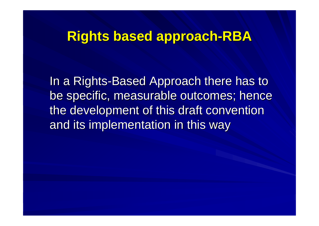### **Rights based approach Rights based approach -RBA**

In a Rights-Based Approach there has to be specific, measurable outcomes; hence the development of this draft convention and its implementation in this way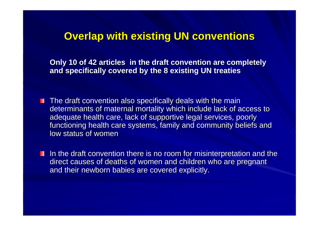#### **Overlap with existing UN conventions**

**Only 10 of 42 articles in the draft convention are completely and specifically covered by the 8 existing UN treaties and specifically covered by the 8 existing UN treaties**

- $\blacksquare$  The draft convention also specifically deals with the main determinants of maternal mortality which include lack of access to adequate health care, lack of supportive legal services, poorly functioning health care systems, family and community beliefs and low status of women
- $\blacksquare$  In the draft convention there is no room for misinterpretation and the direct causes of deaths of women and children who are pregnant and their newborn babies are covered explicitly.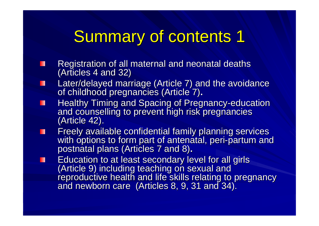# Summary of contents 1

- Registration of all maternal and neonatal deaths (Articles 4 and 32) П
- Later/delayed marriage (Article 7) and the avoidance of childhood pregnancies (Article 7). Ш
- Healthy Timing and Spacing of Pregnancy-education ш and counselling to prevent high risk pregnancies (Article 42).
- Freely available confidential family planning services<br>with options to form part of antenatal, peri-partum anc П with options to form part of antenatal, peri-partum and<br>postnatal plans (Articles 7 and 8)**.**
- Education to at least secondary level for all girls<br>(Article 9) including teaching on sexual and<br>reproductive health and life skills relating to pregnancy ш and newborn care (Articles 8, 9, 31 and 34).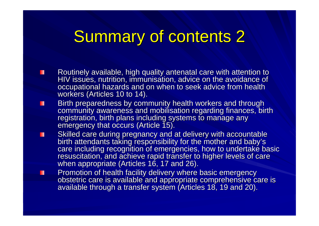# **Summary of contents 2**

- Routinely available, high quality antenatal care with attention to<br>HIV issues, nutrition, immunisation, advice on the avoidance of H occupational hazards and on when to seek advice from health workers (Articles 10 to 14).
- Birth preparedness by community health workers and through<br>community awareness and mobilisation regarding finances, birth<br>registration, birth plans including systems to manage any<br>emergency that occurs (Article 15). H
- Skilled care during pregnancy and at delivery with accountable<br>birth attendants taking responsibility for the mother and baby's<br>care including recognition of emergencies, how to undertake basic<br>resuscitation, and achieve r П
	- Promotion of health facility delivery where basic emergency<br>obstetric care is available and appropriate comprehensive care is<br>available through a transfer system (Articles 18, 19 and 20).

Ш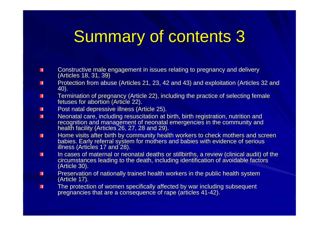# **Summary of contents 3**

- Constructive male engagement in issues relating to pregnancy and delivery (Articles 18, 31, 39) п
- Protection from abuse (Articles 21, 23, 42 and 43) and exploitation (Articles 32 and 40). П
- Termination of pregnancy (Article 22), including the practice of selecting female п fetuses for abortion (Article 22).
- Post natal depressive illness (Article 25). Post natal depressive illness (Article 25). П
- Neonatal care, including resuscitation at birth, birth registration, nutrition and recognition and management of neonatal emergencies in the community and health facility (Articles 26, 27, 28 and 29). п
- Home visits after birth by community health workers to check mothers and screen<br>babies. Early referral system for mothers and babies with evidence of serious<br>illness (Articles 17 and 28). п
- In cases of maternal or neonatal deaths or stillbirths, a review (clinical audit) of the circumstances leading to the death, including identification of avoidable factors (Article 30). п
- Preservation of nationally trained health workers in the public health system (Article 17). п
- The protection of women specifically affected by war including subsequent pregnancies that are a consequence of rape (articles 41-42).  $\blacksquare$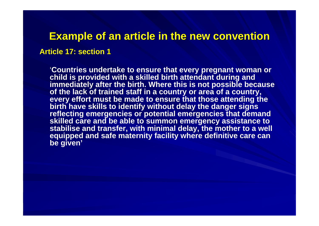#### **Example of an article in the new convention Example of an article in the new convention**

#### **Article 17: section 1 Article 17: section 1**

'**Countries undertake to ensure that every pregnant woman or child is provided with a skilled birth attendant during and immediately after the birth. Where this is not possible because of the lack of trained staff in a country or area of a country, every effort must be made to ensure that those attending the birth have skills to identify without delay the danger signs reflecting emergencies or potential emergencies that demand skilled care and be able to summon emergency assistance to stabilise and transfer, with minimal delay, the mother to a well equipped and safe maternity facility where definitive care can be given'**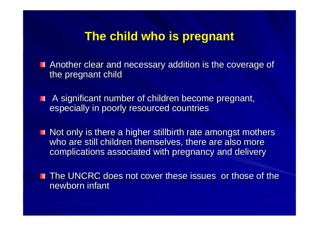### **The child who is pregnant The child who is pregnant**

 $\blacksquare$  Another clear and necessary addition is the coverage of the pregnant child

A significant number of children become pregnant, ш especially in poorly resourced countries

 $\blacksquare$  Not only is there a higher stillbirth rate amongst mothers who are still children themselves, there are also more complications associated with pregnancy and delivery

**The UNCRC does not cover these issues or those of the** newborn infant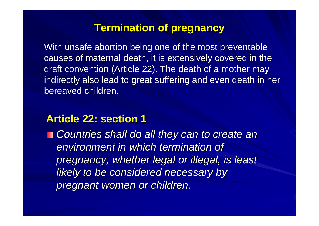#### **Termination of pregnancy**

With unsafe abortion being one of the most preventable causes of maternal death, it is extensively covered in the draft convention (Article 22). The death of a mother may indirectly also lead to great suffering and even death in her bereaved children.

#### **Article 22: section 1 Article 22: section 1**

*Countries shall do all they can to create an Countries shall do all they can to create an environment in which termination of environment in which termination of pregnancy, whether legal or illegal, is least pregnancy, whether legal or illegal, is least*  **likely to be considered necessary by** *pregnant women or children. pregnant women or children.*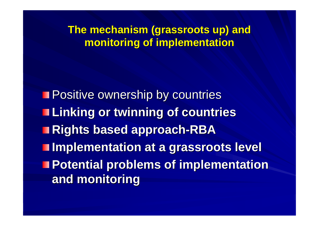**The mechanism (grassroots up) and monitoring of implementation monitoring of implementation**

**Positive ownership by countries Linking or twinning of countries Linking or twinning of countries Rights based approach Rights based approach -RBA Implementation at a grassroots level Implementation at a grassroots level Potential problems of implementation and monitoring and monitoring**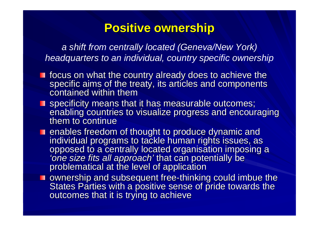### **Positive ownership Positive ownership**

*a shift from centrally located (Geneva/New York) headquarters to an individual, country specific ownership*

- focus on what the country already does to achieve the<br>specific aims of the treaty, its articles and components contained within them
- specificity means that it has measurable outcomes;<br>enabling countries to visualize progress and encouraging them to continue
- enables freedom of thought to produce dynamic and<br>individual programs to tackle human rights issues, as<br>opposed to a centrally located organisation imposing a *'one size fits all approach'* that can potentially be problematical at the level of application
- $\blacksquare$  ownership and subsequent free-thinking could imbue the States Parties with a positive sense of pride towards the outcomes that it is trying to achieve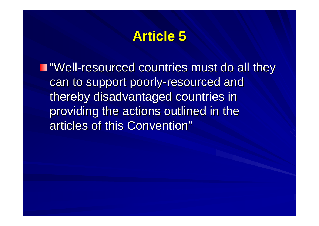## **Article 5 Article 5**

**T** "Well-resourced countries must do all they can to support poorly-resourced and thereby disadvantaged countries in thereby disadvantaged countries in providing the actions outlined in the articles of this Convention"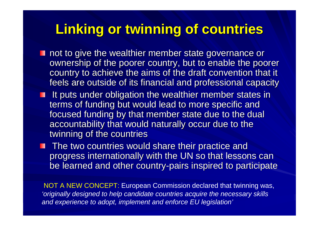## **Linking or twinning of countries Linking or twinning of countries**

- $\blacksquare$  not to give the wealthier member state governance or ownership of the poorer country, but to enable the poorer country to achieve the aims of the draft convention that it feels are outside of its financial and professional capacity
- **If puts under obligation the wealthier member states in** terms of funding but would lead to more specific and focused funding by that member state due to the dual accountability that would naturally occur due to the twinning of the countries

**The two countries would share their practice and** progress internationally with the UN so that lessons can be learned and other country-pairs inspired to participate

NOT A NEW CONCEPT: European Commission declared that twinning was, *'originally designed to help candidate countries acquire the necessary skills and experience to adopt, implement and enforce EU legislation'*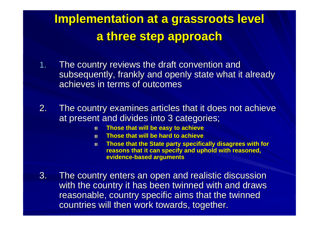## **Implementation at a grassroots level Implementation at a grassroots level a three step approach a three step approach**

- 1.The country reviews the draft convention and subsequently, frankly and openly state what it already achieves in terms of outcomes
- 2. The country examines articles that it does not achieve at present and divides into 3 categories;
	- **Those that will be easy to achieve Those that will be easy to achieve** 图
	- **Those that will be hard to achieve Those that will be hard to achieve**翻
	- **Those that the State party specifically disagrees with for** 圖 **reasons that it can specify and uphold with reasoned, evidence evidence-based arguments based arguments**
- 3. The country enters an open and realistic discussion with the country it has been twinned with and draws reasonable, country specific aims that the twinned countries will then work towards, together.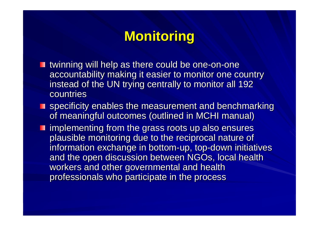## **Monitoring Monitoring**

- **u** twinning will help as there could be one-on-one accountability making it easier to monitor one country instead of the UN trying centrally to monitor all 192 countries
- $\blacksquare$  specificity enables the measurement and benchmarking of meaningful outcomes (outlined in MCHI manual)
- $\blacksquare$  implementing from the grass roots up also ensures plausible monitoring due to the reciprocal nature of information exchange in bottom-up, top-down initiatives and the open discussion between NGOs, local health workers and other governmental and health professionals who participate in the process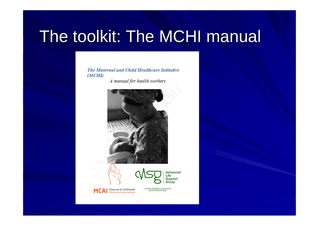# The toolkit: The MCHI manual

The Maternal and Child Healthcare Initiative  $(MCHI)$ 

A manual for health workers



 $\mathbf{1}$